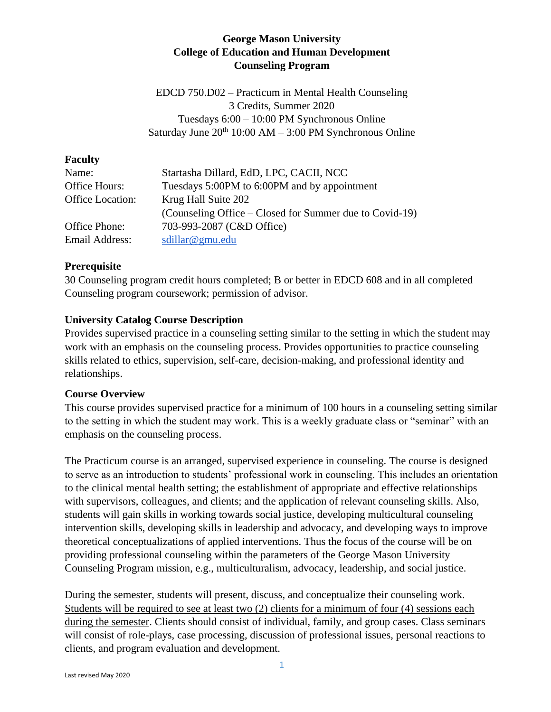## **George Mason University College of Education and Human Development Counseling Program**

EDCD 750.D02 – Practicum in Mental Health Counseling 3 Credits, Summer 2020 Tuesdays 6:00 – 10:00 PM Synchronous Online Saturday June  $20^{th}$  10:00 AM – 3:00 PM Synchronous Online

#### **Faculty**

| Name:            | Startasha Dillard, EdD, LPC, CACII, NCC                 |
|------------------|---------------------------------------------------------|
| Office Hours:    | Tuesdays 5:00PM to 6:00PM and by appointment            |
| Office Location: | Krug Hall Suite 202                                     |
|                  | (Counseling Office – Closed for Summer due to Covid-19) |
| Office Phone:    | 703-993-2087 (C&D Office)                               |
| Email Address:   | sdillar@gmu.edu                                         |

## **Prerequisite**

30 Counseling program credit hours completed; B or better in EDCD 608 and in all completed Counseling program coursework; permission of advisor.

## **University Catalog Course Description**

Provides supervised practice in a counseling setting similar to the setting in which the student may work with an emphasis on the counseling process. Provides opportunities to practice counseling skills related to ethics, supervision, self-care, decision-making, and professional identity and relationships.

## **Course Overview**

This course provides supervised practice for a minimum of 100 hours in a counseling setting similar to the setting in which the student may work. This is a weekly graduate class or "seminar" with an emphasis on the counseling process.

The Practicum course is an arranged, supervised experience in counseling. The course is designed to serve as an introduction to students' professional work in counseling. This includes an orientation to the clinical mental health setting; the establishment of appropriate and effective relationships with supervisors, colleagues, and clients; and the application of relevant counseling skills. Also, students will gain skills in working towards social justice, developing multicultural counseling intervention skills, developing skills in leadership and advocacy, and developing ways to improve theoretical conceptualizations of applied interventions. Thus the focus of the course will be on providing professional counseling within the parameters of the George Mason University Counseling Program mission, e.g., multiculturalism, advocacy, leadership, and social justice.

During the semester, students will present, discuss, and conceptualize their counseling work. Students will be required to see at least two (2) clients for a minimum of four (4) sessions each during the semester. Clients should consist of individual, family, and group cases. Class seminars will consist of role-plays, case processing, discussion of professional issues, personal reactions to clients, and program evaluation and development.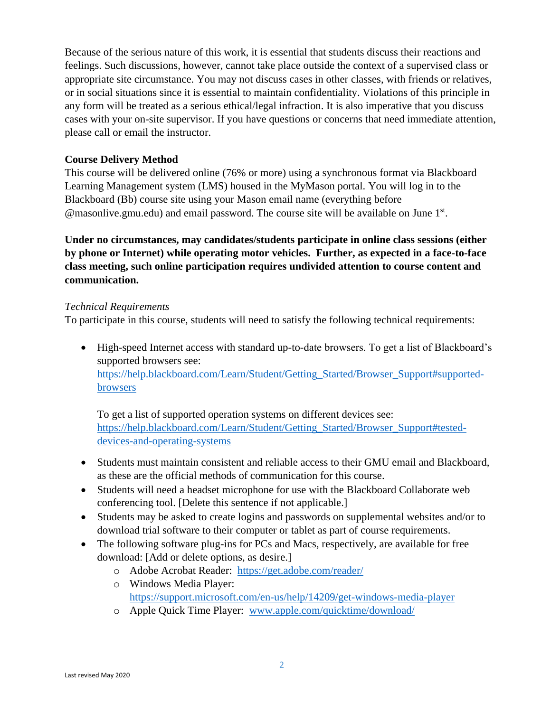Because of the serious nature of this work, it is essential that students discuss their reactions and feelings. Such discussions, however, cannot take place outside the context of a supervised class or appropriate site circumstance. You may not discuss cases in other classes, with friends or relatives, or in social situations since it is essential to maintain confidentiality. Violations of this principle in any form will be treated as a serious ethical/legal infraction. It is also imperative that you discuss cases with your on-site supervisor. If you have questions or concerns that need immediate attention, please call or email the instructor.

#### **Course Delivery Method**

This course will be delivered online (76% or more) using a synchronous format via Blackboard Learning Management system (LMS) housed in the MyMason portal. You will log in to the Blackboard (Bb) course site using your Mason email name (everything before @masonlive.gmu.edu) and email password. The course site will be available on June 1st.

**Under no circumstances, may candidates/students participate in online class sessions (either by phone or Internet) while operating motor vehicles. Further, as expected in a face-to-face class meeting, such online participation requires undivided attention to course content and communication.**

#### *Technical Requirements*

To participate in this course, students will need to satisfy the following technical requirements:

• High-speed Internet access with standard up-to-date browsers. To get a list of Blackboard's supported browsers see: [https://help.blackboard.com/Learn/Student/Getting\\_Started/Browser\\_Support#supported](https://help.blackboard.com/Learn/Student/Getting_Started/Browser_Support#supported-browsers)[browsers](https://help.blackboard.com/Learn/Student/Getting_Started/Browser_Support#supported-browsers)

To get a list of supported operation systems on different devices see: [https://help.blackboard.com/Learn/Student/Getting\\_Started/Browser\\_Support#tested](https://help.blackboard.com/Learn/Student/Getting_Started/Browser_Support#tested-devices-and-operating-systems)[devices-and-operating-systems](https://help.blackboard.com/Learn/Student/Getting_Started/Browser_Support#tested-devices-and-operating-systems)

- Students must maintain consistent and reliable access to their GMU email and Blackboard, as these are the official methods of communication for this course.
- Students will need a headset microphone for use with the Blackboard Collaborate web conferencing tool. [Delete this sentence if not applicable.]
- Students may be asked to create logins and passwords on supplemental websites and/or to download trial software to their computer or tablet as part of course requirements.
- The following software plug-ins for PCs and Macs, respectively, are available for free download: [Add or delete options, as desire.]
	- o Adobe Acrobat Reader: <https://get.adobe.com/reader/>
	- o Windows Media Player: <https://support.microsoft.com/en-us/help/14209/get-windows-media-player>
	- o Apple Quick Time Player: [www.apple.com/quicktime/download/](http://www.apple.com/quicktime/download/)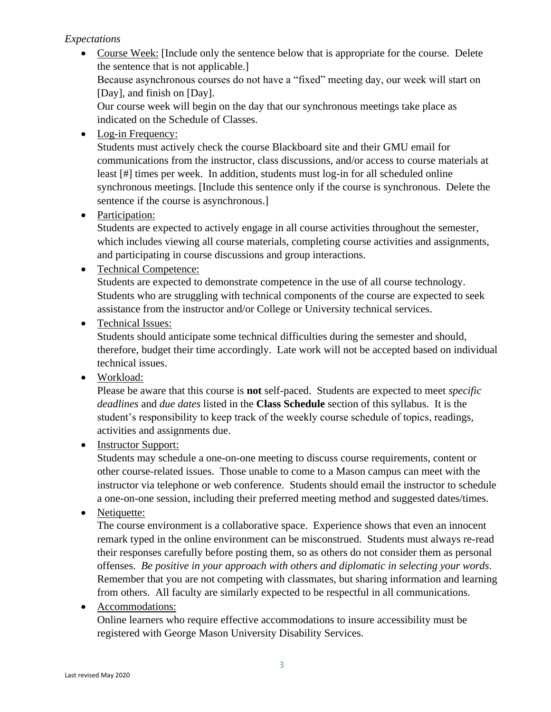## *Expectations*

• Course Week: [Include only the sentence below that is appropriate for the course. Delete the sentence that is not applicable.] Because asynchronous courses do not have a "fixed" meeting day, our week will start on [Day], and finish on [Day]. Our course week will begin on the day that our synchronous meetings take place as

indicated on the Schedule of Classes.

• Log-in Frequency:

Students must actively check the course Blackboard site and their GMU email for communications from the instructor, class discussions, and/or access to course materials at least [#] times per week. In addition, students must log-in for all scheduled online synchronous meetings. [Include this sentence only if the course is synchronous. Delete the sentence if the course is asynchronous.]

• Participation:

Students are expected to actively engage in all course activities throughout the semester, which includes viewing all course materials, completing course activities and assignments, and participating in course discussions and group interactions.

• Technical Competence:

Students are expected to demonstrate competence in the use of all course technology. Students who are struggling with technical components of the course are expected to seek assistance from the instructor and/or College or University technical services.

• Technical Issues:

Students should anticipate some technical difficulties during the semester and should, therefore, budget their time accordingly. Late work will not be accepted based on individual technical issues.

• Workload:

Please be aware that this course is **not** self-paced. Students are expected to meet *specific deadlines* and *due dates* listed in the **Class Schedule** section of this syllabus. It is the student's responsibility to keep track of the weekly course schedule of topics, readings, activities and assignments due.

• Instructor Support:

Students may schedule a one-on-one meeting to discuss course requirements, content or other course-related issues. Those unable to come to a Mason campus can meet with the instructor via telephone or web conference. Students should email the instructor to schedule a one-on-one session, including their preferred meeting method and suggested dates/times.

• Netiquette:

The course environment is a collaborative space. Experience shows that even an innocent remark typed in the online environment can be misconstrued. Students must always re-read their responses carefully before posting them, so as others do not consider them as personal offenses. *Be positive in your approach with others and diplomatic in selecting your words*. Remember that you are not competing with classmates, but sharing information and learning from others. All faculty are similarly expected to be respectful in all communications.

• Accommodations:

Online learners who require effective accommodations to insure accessibility must be registered with George Mason University Disability Services.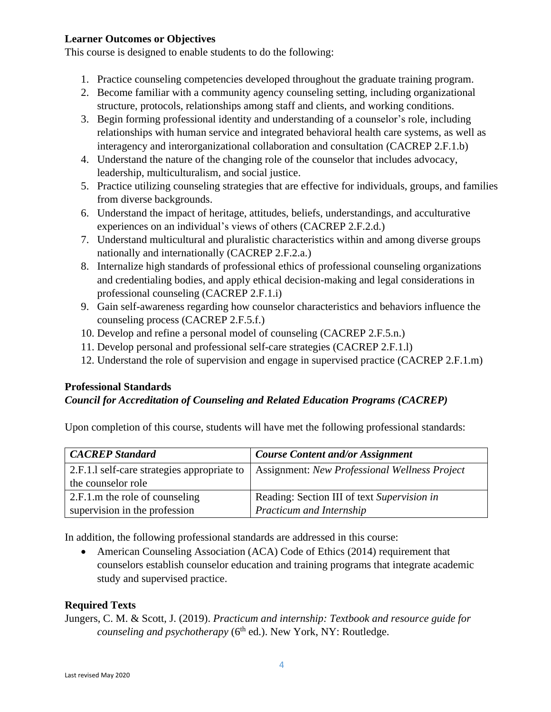## **Learner Outcomes or Objectives**

This course is designed to enable students to do the following:

- 1. Practice counseling competencies developed throughout the graduate training program.
- 2. Become familiar with a community agency counseling setting, including organizational structure, protocols, relationships among staff and clients, and working conditions.
- 3. Begin forming professional identity and understanding of a counselor's role, including relationships with human service and integrated behavioral health care systems, as well as interagency and interorganizational collaboration and consultation (CACREP 2.F.1.b)
- 4. Understand the nature of the changing role of the counselor that includes advocacy, leadership, multiculturalism, and social justice.
- 5. Practice utilizing counseling strategies that are effective for individuals, groups, and families from diverse backgrounds.
- 6. Understand the impact of heritage, attitudes, beliefs, understandings, and acculturative experiences on an individual's views of others (CACREP 2.F.2.d.)
- 7. Understand multicultural and pluralistic characteristics within and among diverse groups nationally and internationally (CACREP 2.F.2.a.)
- 8. Internalize high standards of professional ethics of professional counseling organizations and credentialing bodies, and apply ethical decision-making and legal considerations in professional counseling (CACREP 2.F.1.i)
- 9. Gain self-awareness regarding how counselor characteristics and behaviors influence the counseling process (CACREP 2.F.5.f.)
- 10. Develop and refine a personal model of counseling (CACREP 2.F.5.n.)
- 11. Develop personal and professional self-care strategies (CACREP 2.F.1.l)
- 12. Understand the role of supervision and engage in supervised practice (CACREP 2.F.1.m)

## **Professional Standards**

## *Council for Accreditation of Counseling and Related Education Programs (CACREP)*

Upon completion of this course, students will have met the following professional standards:

| <b>CACREP</b> Standard                      | <b>Course Content and/or Assignment</b>       |  |  |
|---------------------------------------------|-----------------------------------------------|--|--|
| 2.F.1.1 self-care strategies appropriate to | Assignment: New Professional Wellness Project |  |  |
| the counselor role                          |                                               |  |  |
| 2.F.1.m the role of counseling              | Reading: Section III of text Supervision in   |  |  |
| supervision in the profession               | Practicum and Internship                      |  |  |

In addition, the following professional standards are addressed in this course:

• American Counseling Association (ACA) Code of Ethics (2014) requirement that counselors establish counselor education and training programs that integrate academic study and supervised practice.

## **Required Texts**

Jungers, C. M. & Scott, J. (2019). *Practicum and internship: Textbook and resource guide for counseling and psychotherapy* (6<sup>th</sup> ed.). New York, NY: Routledge.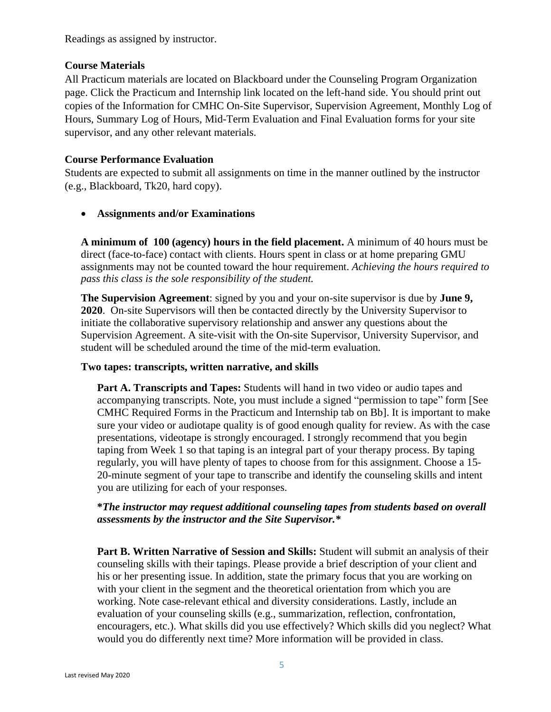Readings as assigned by instructor.

### **Course Materials**

All Practicum materials are located on Blackboard under the Counseling Program Organization page. Click the Practicum and Internship link located on the left-hand side. You should print out copies of the Information for CMHC On-Site Supervisor, Supervision Agreement, Monthly Log of Hours, Summary Log of Hours, Mid-Term Evaluation and Final Evaluation forms for your site supervisor, and any other relevant materials.

#### **Course Performance Evaluation**

Students are expected to submit all assignments on time in the manner outlined by the instructor (e.g., Blackboard, Tk20, hard copy).

#### • **Assignments and/or Examinations**

**A minimum of 100 (agency) hours in the field placement.** A minimum of 40 hours must be direct (face-to-face) contact with clients. Hours spent in class or at home preparing GMU assignments may not be counted toward the hour requirement. *Achieving the hours required to pass this class is the sole responsibility of the student.*

**The Supervision Agreement**: signed by you and your on-site supervisor is due by **June 9, 2020**. On-site Supervisors will then be contacted directly by the University Supervisor to initiate the collaborative supervisory relationship and answer any questions about the Supervision Agreement. A site-visit with the On-site Supervisor, University Supervisor, and student will be scheduled around the time of the mid-term evaluation.

#### **Two tapes: transcripts, written narrative, and skills**

**Part A. Transcripts and Tapes:** Students will hand in two video or audio tapes and accompanying transcripts. Note, you must include a signed "permission to tape" form [See CMHC Required Forms in the Practicum and Internship tab on Bb]. It is important to make sure your video or audiotape quality is of good enough quality for review. As with the case presentations, videotape is strongly encouraged. I strongly recommend that you begin taping from Week 1 so that taping is an integral part of your therapy process. By taping regularly, you will have plenty of tapes to choose from for this assignment. Choose a 15- 20-minute segment of your tape to transcribe and identify the counseling skills and intent you are utilizing for each of your responses.

#### **\****The instructor may request additional counseling tapes from students based on overall assessments by the instructor and the Site Supervisor.\**

**Part B. Written Narrative of Session and Skills:** Student will submit an analysis of their counseling skills with their tapings. Please provide a brief description of your client and his or her presenting issue. In addition, state the primary focus that you are working on with your client in the segment and the theoretical orientation from which you are working. Note case-relevant ethical and diversity considerations. Lastly, include an evaluation of your counseling skills (e.g., summarization, reflection, confrontation, encouragers, etc.). What skills did you use effectively? Which skills did you neglect? What would you do differently next time? More information will be provided in class.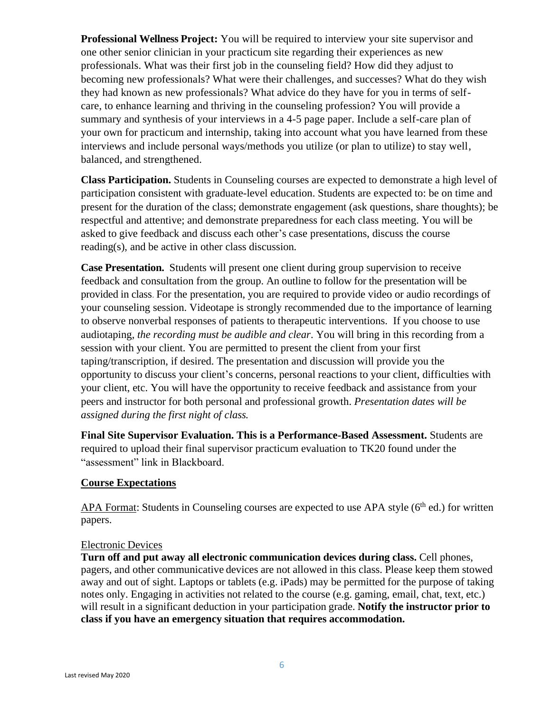**Professional Wellness Project:** You will be required to interview your site supervisor and one other senior clinician in your practicum site regarding their experiences as new professionals. What was their first job in the counseling field? How did they adjust to becoming new professionals? What were their challenges, and successes? What do they wish they had known as new professionals? What advice do they have for you in terms of selfcare, to enhance learning and thriving in the counseling profession? You will provide a summary and synthesis of your interviews in a 4-5 page paper. Include a self-care plan of your own for practicum and internship, taking into account what you have learned from these interviews and include personal ways/methods you utilize (or plan to utilize) to stay well, balanced, and strengthened.

**Class Participation.** Students in Counseling courses are expected to demonstrate a high level of participation consistent with graduate-level education. Students are expected to: be on time and present for the duration of the class; demonstrate engagement (ask questions, share thoughts); be respectful and attentive; and demonstrate preparedness for each class meeting. You will be asked to give feedback and discuss each other's case presentations, discuss the course reading(s), and be active in other class discussion.

**Case Presentation.** Students will present one client during group supervision to receive feedback and consultation from the group. An outline to follow for the presentation will be provided in class. For the presentation, you are required to provide video or audio recordings of your counseling session. Videotape is strongly recommended due to the importance of learning to observe nonverbal responses of patients to therapeutic interventions. If you choose to use audiotaping, *the recording must be audible and clear*. You will bring in this recording from a session with your client. You are permitted to present the client from your first taping/transcription, if desired. The presentation and discussion will provide you the opportunity to discuss your client's concerns, personal reactions to your client, difficulties with your client, etc. You will have the opportunity to receive feedback and assistance from your peers and instructor for both personal and professional growth. *Presentation dates will be assigned during the first night of class.*

**Final Site Supervisor Evaluation. This is a Performance-Based Assessment.** Students are required to upload their final supervisor practicum evaluation to TK20 found under the "assessment" link in Blackboard.

## **Course Expectations**

APA Format: Students in Counseling courses are expected to use APA style  $(6<sup>th</sup>$  ed.) for written papers.

#### Electronic Devices

**Turn off and put away all electronic communication devices during class.** Cell phones, pagers, and other communicative devices are not allowed in this class. Please keep them stowed away and out of sight. Laptops or tablets (e.g. iPads) may be permitted for the purpose of taking notes only. Engaging in activities not related to the course (e.g. gaming, email, chat, text, etc.) will result in a significant deduction in your participation grade. **Notify the instructor prior to class if you have an emergency situation that requires accommodation.**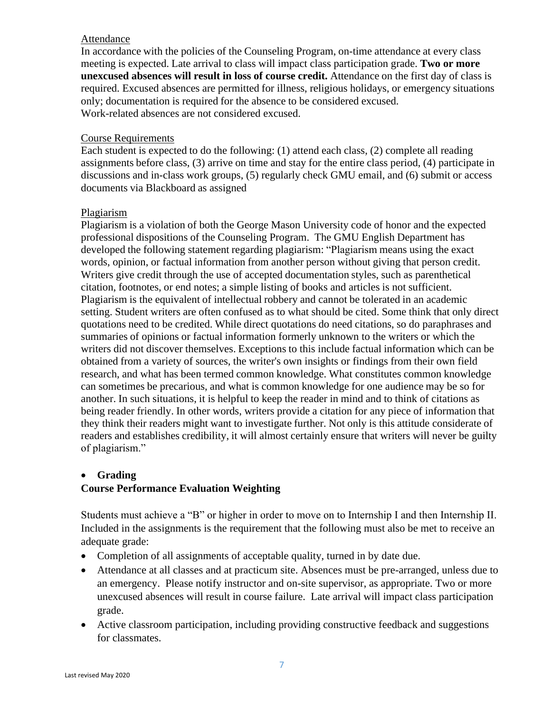#### Attendance

In accordance with the policies of the Counseling Program, on-time attendance at every class meeting is expected. Late arrival to class will impact class participation grade. **Two or more unexcused absences will result in loss of course credit.** Attendance on the first day of class is required. Excused absences are permitted for illness, religious holidays, or emergency situations only; documentation is required for the absence to be considered excused. Work-related absences are not considered excused.

#### Course Requirements

Each student is expected to do the following: (1) attend each class, (2) complete all reading assignments before class, (3) arrive on time and stay for the entire class period, (4) participate in discussions and in-class work groups, (5) regularly check GMU email, and (6) submit or access documents via Blackboard as assigned

#### Plagiarism

Plagiarism is a violation of both the George Mason University code of honor and the expected professional dispositions of the Counseling Program. The GMU English Department has developed the following statement regarding plagiarism: "Plagiarism means using the exact words, opinion, or factual information from another person without giving that person credit. Writers give credit through the use of accepted documentation styles, such as parenthetical citation, footnotes, or end notes; a simple listing of books and articles is not sufficient. Plagiarism is the equivalent of intellectual robbery and cannot be tolerated in an academic setting. Student writers are often confused as to what should be cited. Some think that only direct quotations need to be credited. While direct quotations do need citations, so do paraphrases and summaries of opinions or factual information formerly unknown to the writers or which the writers did not discover themselves. Exceptions to this include factual information which can be obtained from a variety of sources, the writer's own insights or findings from their own field research, and what has been termed common knowledge. What constitutes common knowledge can sometimes be precarious, and what is common knowledge for one audience may be so for another. In such situations, it is helpful to keep the reader in mind and to think of citations as being reader friendly. In other words, writers provide a citation for any piece of information that they think their readers might want to investigate further. Not only is this attitude considerate of readers and establishes credibility, it will almost certainly ensure that writers will never be guilty of plagiarism."

## • **Grading**

# **Course Performance Evaluation Weighting**

Students must achieve a "B" or higher in order to move on to Internship I and then Internship II. Included in the assignments is the requirement that the following must also be met to receive an adequate grade:

- Completion of all assignments of acceptable quality, turned in by date due.
- Attendance at all classes and at practicum site. Absences must be pre-arranged, unless due to an emergency. Please notify instructor and on-site supervisor, as appropriate. Two or more unexcused absences will result in course failure. Late arrival will impact class participation grade.
- Active classroom participation, including providing constructive feedback and suggestions for classmates.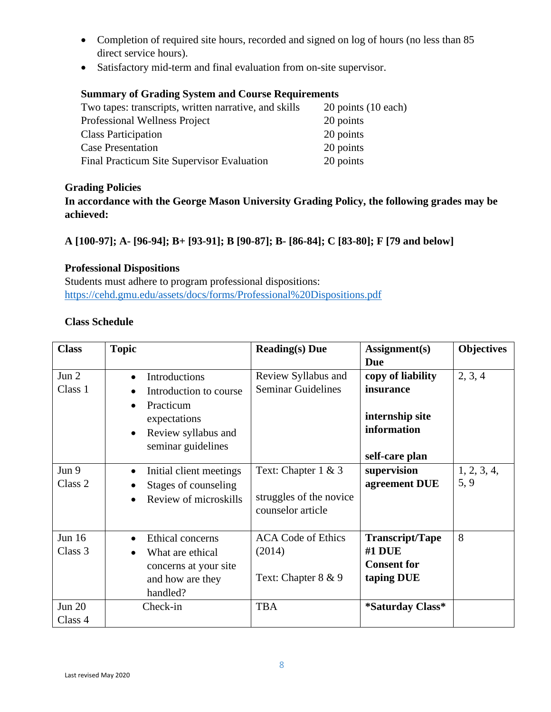- Completion of required site hours, recorded and signed on log of hours (no less than 85 direct service hours).
- Satisfactory mid-term and final evaluation from on-site supervisor.

# **Summary of Grading System and Course Requirements**

| Two tapes: transcripts, written narrative, and skills | 20 points (10 each) |
|-------------------------------------------------------|---------------------|
| Professional Wellness Project                         | 20 points           |
| <b>Class Participation</b>                            | 20 points           |
| <b>Case Presentation</b>                              | 20 points           |
| Final Practicum Site Supervisor Evaluation            | 20 points           |

## **Grading Policies**

**In accordance with the George Mason University Grading Policy, the following grades may be achieved:**

# **A [100-97]; A- [96-94]; B+ [93-91]; B [90-87]; B- [86-84]; C [83-80]; F [79 and below]**

## **Professional Dispositions**

Students must adhere to program professional dispositions: <https://cehd.gmu.edu/assets/docs/forms/Professional%20Dispositions.pdf>

## **Class Schedule**

| <b>Class</b>             | <b>Topic</b>                                                                                                                                             | <b>Reading(s)</b> Due                                                  | Assignment(s)<br><b>Due</b>                                                        | <b>Objectives</b>   |
|--------------------------|----------------------------------------------------------------------------------------------------------------------------------------------------------|------------------------------------------------------------------------|------------------------------------------------------------------------------------|---------------------|
| Jun $2$<br>Class 1       | Introductions<br>$\bullet$<br>Introduction to course<br>Practicum<br>$\bullet$<br>expectations<br>Review syllabus and<br>$\bullet$<br>seminar guidelines | Review Syllabus and<br><b>Seminar Guidelines</b>                       | copy of liability<br>insurance<br>internship site<br>information<br>self-care plan | 2, 3, 4             |
| Jun 9<br>Class 2         | Initial client meetings<br>Stages of counseling<br>Review of microskills                                                                                 | Text: Chapter $1 \& 3$<br>struggles of the novice<br>counselor article | supervision<br>agreement DUE                                                       | 1, 2, 3, 4,<br>5, 9 |
| Jun $16$<br>Class 3      | Ethical concerns<br>What are ethical<br>concerns at your site<br>and how are they<br>handled?                                                            | <b>ACA Code of Ethics</b><br>(2014)<br>Text: Chapter 8 & 9             | <b>Transcript/Tape</b><br>$#1$ DUE<br><b>Consent for</b><br>taping DUE             | 8                   |
| <b>Jun 20</b><br>Class 4 | Check-in                                                                                                                                                 | <b>TBA</b>                                                             | *Saturday Class*                                                                   |                     |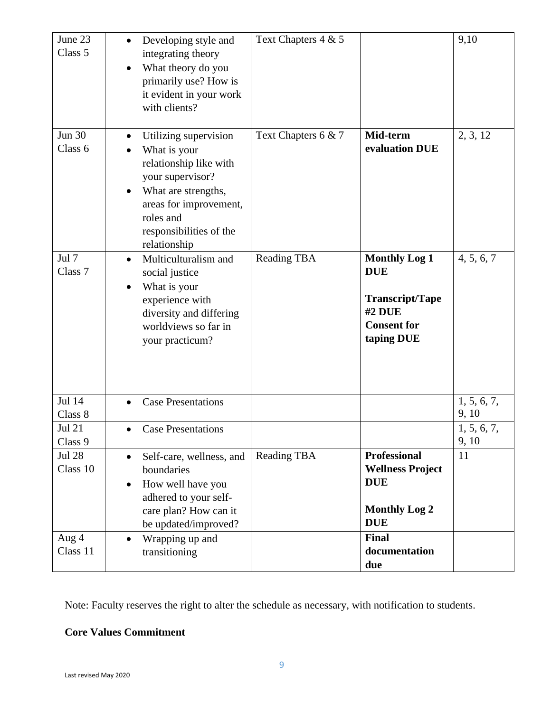| June 23<br>Class 5        | Developing style and<br>$\bullet$<br>integrating theory<br>What theory do you<br>$\bullet$<br>primarily use? How is<br>it evident in your work<br>with clients?                                                | Text Chapters 4 & 5 |                                                                                                            | 9,10                 |
|---------------------------|----------------------------------------------------------------------------------------------------------------------------------------------------------------------------------------------------------------|---------------------|------------------------------------------------------------------------------------------------------------|----------------------|
| <b>Jun 30</b><br>Class 6  | Utilizing supervision<br>$\bullet$<br>What is your<br>relationship like with<br>your supervisor?<br>What are strengths,<br>٠<br>areas for improvement,<br>roles and<br>responsibilities of the<br>relationship | Text Chapters 6 & 7 | Mid-term<br>evaluation DUE                                                                                 | 2, 3, 12             |
| Jul 7<br>Class 7          | Multiculturalism and<br>$\bullet$<br>social justice<br>What is your<br>$\bullet$<br>experience with<br>diversity and differing<br>worldviews so far in<br>your practicum?                                      | <b>Reading TBA</b>  | <b>Monthly Log 1</b><br><b>DUE</b><br><b>Transcript/Tape</b><br>#2 DUE<br><b>Consent for</b><br>taping DUE | 4, 5, 6, 7           |
| Jul 14<br>Class 8         | <b>Case Presentations</b>                                                                                                                                                                                      |                     |                                                                                                            | 1, 5, 6, 7,<br>9, 10 |
| <b>Jul 21</b><br>Class 9  | <b>Case Presentations</b>                                                                                                                                                                                      |                     |                                                                                                            | 1, 5, 6, 7,<br>9, 10 |
| <b>Jul 28</b><br>Class 10 | Self-care, wellness, and<br>$\bullet$<br>boundaries<br>How well have you<br>$\bullet$<br>adhered to your self-<br>care plan? How can it<br>be updated/improved?                                                | <b>Reading TBA</b>  | <b>Professional</b><br><b>Wellness Project</b><br><b>DUE</b><br><b>Monthly Log 2</b><br><b>DUE</b>         | 11                   |
| Aug 4<br>Class 11         | Wrapping up and<br>$\bullet$<br>transitioning                                                                                                                                                                  |                     | <b>Final</b><br>documentation<br>due                                                                       |                      |

Note: Faculty reserves the right to alter the schedule as necessary, with notification to students.

# **Core Values Commitment**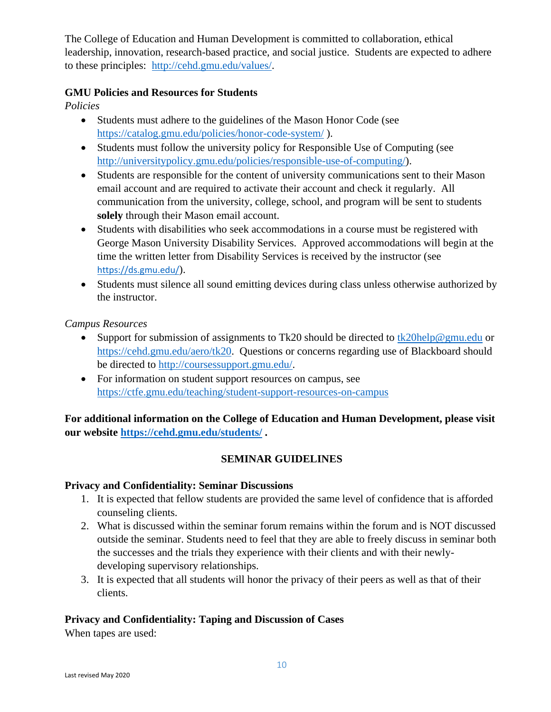The College of Education and Human Development is committed to collaboration, ethical leadership, innovation, research-based practice, and social justice. Students are expected to adhere to these principles: [http://cehd.gmu.edu/values/.](http://cehd.gmu.edu/values/)

## **GMU Policies and Resources for Students**

*Policies*

- Students must adhere to the guidelines of the Mason Honor Code (see <https://catalog.gmu.edu/policies/honor-code-system/> ).
- Students must follow the university policy for Responsible Use of Computing (see [http://universitypolicy.gmu.edu/policies/responsible-use-of-computing/\)](http://universitypolicy.gmu.edu/policies/responsible-use-of-computing/).
- Students are responsible for the content of university communications sent to their Mason email account and are required to activate their account and check it regularly. All communication from the university, college, school, and program will be sent to students **solely** through their Mason email account.
- Students with disabilities who seek accommodations in a course must be registered with George Mason University Disability Services. Approved accommodations will begin at the time the written letter from Disability Services is received by the instructor (see <https://ds.gmu.edu/>).
- Students must silence all sound emitting devices during class unless otherwise authorized by the instructor.

*Campus Resources*

- Support for submission of assignments to Tk20 should be directed to  $tk20$ help@gmu.edu or [https://cehd.gmu.edu/aero/tk20.](https://cehd.gmu.edu/aero/tk20) Questions or concerns regarding use of Blackboard should be directed to [http://coursessupport.gmu.edu/.](http://coursessupport.gmu.edu/)
- For information on student support resources on campus, see <https://ctfe.gmu.edu/teaching/student-support-resources-on-campus>

**For additional information on the College of Education and Human Development, please visit our website <https://cehd.gmu.edu/students/> .**

# **SEMINAR GUIDELINES**

# **Privacy and Confidentiality: Seminar Discussions**

- 1. It is expected that fellow students are provided the same level of confidence that is afforded counseling clients.
- 2. What is discussed within the seminar forum remains within the forum and is NOT discussed outside the seminar. Students need to feel that they are able to freely discuss in seminar both the successes and the trials they experience with their clients and with their newlydeveloping supervisory relationships.
- 3. It is expected that all students will honor the privacy of their peers as well as that of their clients.

# **Privacy and Confidentiality: Taping and Discussion of Cases**

When tapes are used: